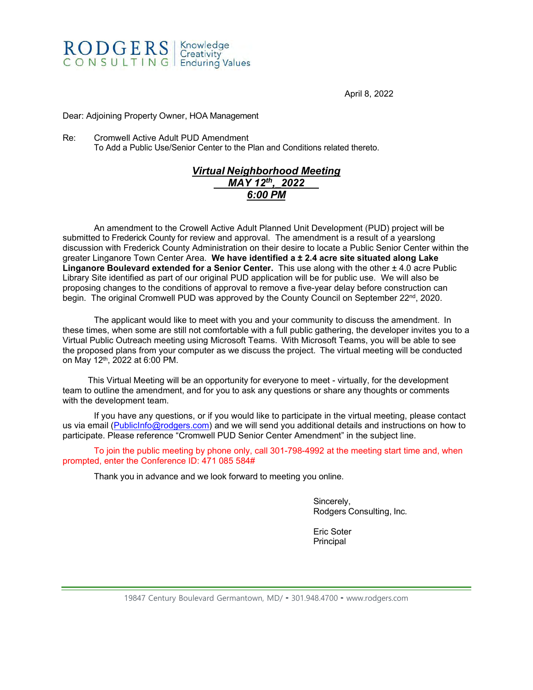

April 8, 2022

Dear: Adjoining Property Owner, HOA Management

Re: Cromwell Active Adult PUD Amendment To Add a Public Use/Senior Center to the Plan and Conditions related thereto.

## *Virtual Neighborhood Meeting MAY 12th,\_2022 6:00 PM*

An amendment to the Crowell Active Adult Planned Unit Development (PUD) project will be submitted to Frederick County for review and approval. The amendment is a result of a yearslong discussion with Frederick County Administration on their desire to locate a Public Senior Center within the greater Linganore Town Center Area. **We have identified a ± 2.4 acre site situated along Lake Linganore Boulevard extended for a Senior Center.** This use along with the other ± 4.0 acre Public Library Site identified as part of our original PUD application will be for public use. We will also be proposing changes to the conditions of approval to remove a five-year delay before construction can begin. The original Cromwell PUD was approved by the County Council on September 22nd, 2020.

The applicant would like to meet with you and your community to discuss the amendment. In these times, when some are still not comfortable with a full public gathering, the developer invites you to a Virtual Public Outreach meeting using Microsoft Teams. With Microsoft Teams, you will be able to see the proposed plans from your computer as we discuss the project. The virtual meeting will be conducted on May 12th, 2022 at 6:00 PM.

This Virtual Meeting will be an opportunity for everyone to meet - virtually, for the development team to outline the amendment, and for you to ask any questions or share any thoughts or comments with the development team.

If you have any questions, or if you would like to participate in the virtual meeting, please contact us via email [\(PublicInfo@rodgers.com\)](mailto:PublicInfo@rodgers.com) and we will send you additional details and instructions on how to participate. Please reference "Cromwell PUD Senior Center Amendment" in the subject line.

To join the public meeting by phone only, call 301-798-4992 at the meeting start time and, when prompted, enter the Conference ID: 471 085 584#

Thank you in advance and we look forward to meeting you online.

Sincerely, Rodgers Consulting, Inc.

Eric Soter Principal